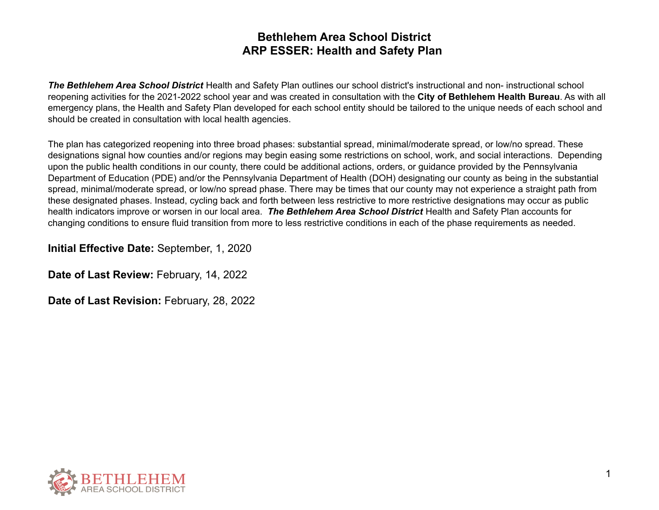*The Bethlehem Area School District* Health and Safety Plan outlines our school district's instructional and non- instructional school reopening activities for the 2021-2022 school year and was created in consultation with the **City of Bethlehem Health Bureau**. As with all emergency plans, the Health and Safety Plan developed for each school entity should be tailored to the unique needs of each school and should be created in consultation with local health agencies.

The plan has categorized reopening into three broad phases: substantial spread, minimal/moderate spread, or low/no spread. These designations signal how counties and/or regions may begin easing some restrictions on school, work, and social interactions. Depending upon the public health conditions in our county, there could be additional actions, orders, or guidance provided by the Pennsylvania Department of Education (PDE) and/or the Pennsylvania Department of Health (DOH) designating our county as being in the substantial spread, minimal/moderate spread, or low/no spread phase. There may be times that our county may not experience a straight path from these designated phases. Instead, cycling back and forth between less restrictive to more restrictive designations may occur as public health indicators improve or worsen in our local area. *The Bethlehem Area School District* Health and Safety Plan accounts for changing conditions to ensure fluid transition from more to less restrictive conditions in each of the phase requirements as needed.

**Initial Effective Date:** September, 1, 2020

**Date of Last Review:** February, 14, 2022

**Date of Last Revision:** February, 28, 2022

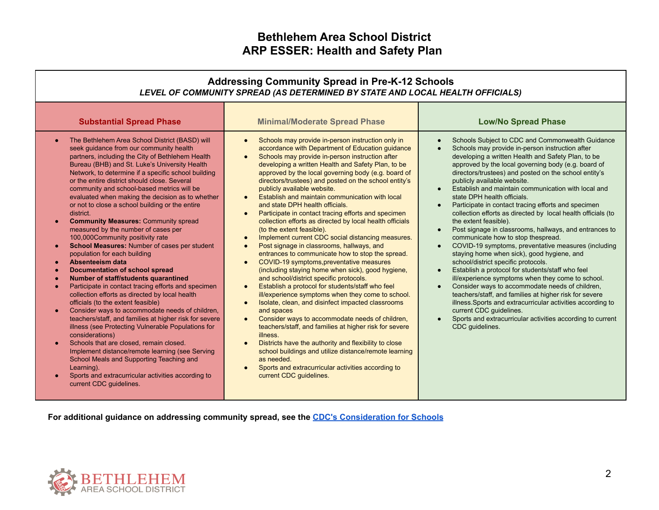| <b>Addressing Community Spread in Pre-K-12 Schools</b><br>LEVEL OF COMMUNITY SPREAD (AS DETERMINED BY STATE AND LOCAL HEALTH OFFICIALS)                                                                                                                                                                                                                                                                                                                                                                                                                                                                                                                                                                                                                                                                                                                                                                                                                                                                                                                                                                                                                                                                                                                                                                                                                                           |                                                                                                                                                                                                                                                                                                                                                                                                                                                                                                                                                                                                                                                                                                                                                                                                                                                                                                                                                                                                                                                                                                                                                                                                                                                                                                                                                                                                                                                                                                                                                                                         |                                                                                                                                                                                                                                                                                                                                                                                                                                                                                                                                                                                                                                                                                                                                                                                                                                                                                                                                                                                                                                                                                                                                                                                                          |  |  |
|-----------------------------------------------------------------------------------------------------------------------------------------------------------------------------------------------------------------------------------------------------------------------------------------------------------------------------------------------------------------------------------------------------------------------------------------------------------------------------------------------------------------------------------------------------------------------------------------------------------------------------------------------------------------------------------------------------------------------------------------------------------------------------------------------------------------------------------------------------------------------------------------------------------------------------------------------------------------------------------------------------------------------------------------------------------------------------------------------------------------------------------------------------------------------------------------------------------------------------------------------------------------------------------------------------------------------------------------------------------------------------------|-----------------------------------------------------------------------------------------------------------------------------------------------------------------------------------------------------------------------------------------------------------------------------------------------------------------------------------------------------------------------------------------------------------------------------------------------------------------------------------------------------------------------------------------------------------------------------------------------------------------------------------------------------------------------------------------------------------------------------------------------------------------------------------------------------------------------------------------------------------------------------------------------------------------------------------------------------------------------------------------------------------------------------------------------------------------------------------------------------------------------------------------------------------------------------------------------------------------------------------------------------------------------------------------------------------------------------------------------------------------------------------------------------------------------------------------------------------------------------------------------------------------------------------------------------------------------------------------|----------------------------------------------------------------------------------------------------------------------------------------------------------------------------------------------------------------------------------------------------------------------------------------------------------------------------------------------------------------------------------------------------------------------------------------------------------------------------------------------------------------------------------------------------------------------------------------------------------------------------------------------------------------------------------------------------------------------------------------------------------------------------------------------------------------------------------------------------------------------------------------------------------------------------------------------------------------------------------------------------------------------------------------------------------------------------------------------------------------------------------------------------------------------------------------------------------|--|--|
| <b>Substantial Spread Phase</b>                                                                                                                                                                                                                                                                                                                                                                                                                                                                                                                                                                                                                                                                                                                                                                                                                                                                                                                                                                                                                                                                                                                                                                                                                                                                                                                                                   | <b>Minimal/Moderate Spread Phase</b>                                                                                                                                                                                                                                                                                                                                                                                                                                                                                                                                                                                                                                                                                                                                                                                                                                                                                                                                                                                                                                                                                                                                                                                                                                                                                                                                                                                                                                                                                                                                                    | <b>Low/No Spread Phase</b>                                                                                                                                                                                                                                                                                                                                                                                                                                                                                                                                                                                                                                                                                                                                                                                                                                                                                                                                                                                                                                                                                                                                                                               |  |  |
| The Bethlehem Area School District (BASD) will<br>seek guidance from our community health<br>partners, including the City of Bethlehem Health<br>Bureau (BHB) and St. Luke's University Health<br>Network, to determine if a specific school building<br>or the entire district should close. Several<br>community and school-based metrics will be<br>evaluated when making the decision as to whether<br>or not to close a school building or the entire<br>district.<br><b>Community Measures: Community spread</b><br>measured by the number of cases per<br>100,000Community positivity rate<br>School Measures: Number of cases per student<br>population for each building<br>Absenteeism data<br><b>Documentation of school spread</b><br>Number of staff/students quarantined<br>Participate in contact tracing efforts and specimen<br>collection efforts as directed by local health<br>officials (to the extent feasible)<br>Consider ways to accommodate needs of children,<br>teachers/staff, and families at higher risk for severe<br>illness (see Protecting Vulnerable Populations for<br>considerations)<br>Schools that are closed, remain closed.<br>$\bullet$<br>Implement distance/remote learning (see Serving<br>School Meals and Supporting Teaching and<br>Learning).<br>Sports and extracurricular activities according to<br>current CDC guidelines. | Schools may provide in-person instruction only in<br>$\bullet$<br>accordance with Department of Education guidance<br>Schools may provide in-person instruction after<br>$\bullet$<br>developing a written Health and Safety Plan, to be<br>approved by the local governing body (e.g. board of<br>directors/trustees) and posted on the school entity's<br>publicly available website.<br>Establish and maintain communication with local<br>$\bullet$<br>and state DPH health officials.<br>Participate in contact tracing efforts and specimen<br>$\bullet$<br>collection efforts as directed by local health officials<br>(to the extent feasible).<br>Implement current CDC social distancing measures.<br>$\bullet$<br>Post signage in classrooms, hallways, and<br>$\bullet$<br>entrances to communicate how to stop the spread.<br>COVID-19 symptoms, preventative measures<br>$\bullet$<br>(including staying home when sick), good hygiene,<br>and school/district specific protocols.<br>Establish a protocol for students/staff who feel<br>$\bullet$<br>ill/experience symptoms when they come to school.<br>Isolate, clean, and disinfect impacted classrooms<br>$\bullet$<br>and spaces<br>Consider ways to accommodate needs of children,<br>$\bullet$<br>teachers/staff, and families at higher risk for severe<br>illness.<br>Districts have the authority and flexibility to close<br>$\bullet$<br>school buildings and utilize distance/remote learning<br>as needed.<br>Sports and extracurricular activities according to<br>$\bullet$<br>current CDC guidelines. | Schools Subject to CDC and Commonwealth Guidance<br>Schools may provide in-person instruction after<br>developing a written Health and Safety Plan, to be<br>approved by the local governing body (e.g. board of<br>directors/trustees) and posted on the school entity's<br>publicly available website.<br>Establish and maintain communication with local and<br>state DPH health officials.<br>Participate in contact tracing efforts and specimen<br>collection efforts as directed by local health officials (to<br>the extent feasible).<br>Post signage in classrooms, hallways, and entrances to<br>communicate how to stop thespread.<br>COVID-19 symptoms, preventative measures (including<br>$\bullet$<br>staying home when sick), good hygiene, and<br>school/district specific protocols.<br>Establish a protocol for students/staff who feel<br>ill/experience symptoms when they come to school.<br>Consider ways to accommodate needs of children,<br>teachers/staff, and families at higher risk for severe<br>illness. Sports and extracurricular activities according to<br>current CDC guidelines.<br>Sports and extracurricular activities according to current<br>CDC guidelines. |  |  |

**For additional guidance on addressing community spread, see the CDC's [Consideration](https://www.cdc.gov/coronavirus/2019-ncov/community/schools-childcare/schools.html) for Schools**

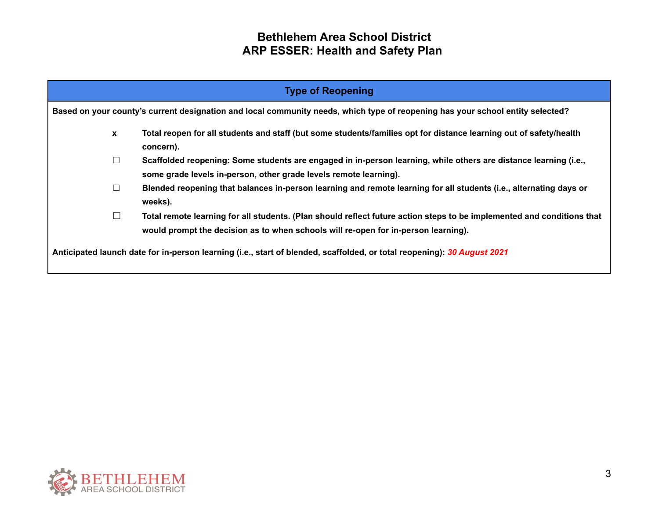| <b>Type of Reopening</b>                                                                                                       |                                                                                                                                                                                                              |  |  |  |
|--------------------------------------------------------------------------------------------------------------------------------|--------------------------------------------------------------------------------------------------------------------------------------------------------------------------------------------------------------|--|--|--|
| Based on your county's current designation and local community needs, which type of reopening has your school entity selected? |                                                                                                                                                                                                              |  |  |  |
| $\mathbf{x}$                                                                                                                   | Total reopen for all students and staff (but some students/families opt for distance learning out of safety/health<br>concern).                                                                              |  |  |  |
| $\Box$                                                                                                                         | Scaffolded reopening: Some students are engaged in in-person learning, while others are distance learning (i.e.,<br>some grade levels in-person, other grade levels remote learning).                        |  |  |  |
| $\Box$                                                                                                                         | Blended reopening that balances in-person learning and remote learning for all students (i.e., alternating days or<br>weeks).                                                                                |  |  |  |
| $\Box$                                                                                                                         | Total remote learning for all students. (Plan should reflect future action steps to be implemented and conditions that<br>would prompt the decision as to when schools will re-open for in-person learning). |  |  |  |
| Anticipated launch date for in-person learning (i.e., start of blended, scaffolded, or total reopening): 30 August 2021        |                                                                                                                                                                                                              |  |  |  |

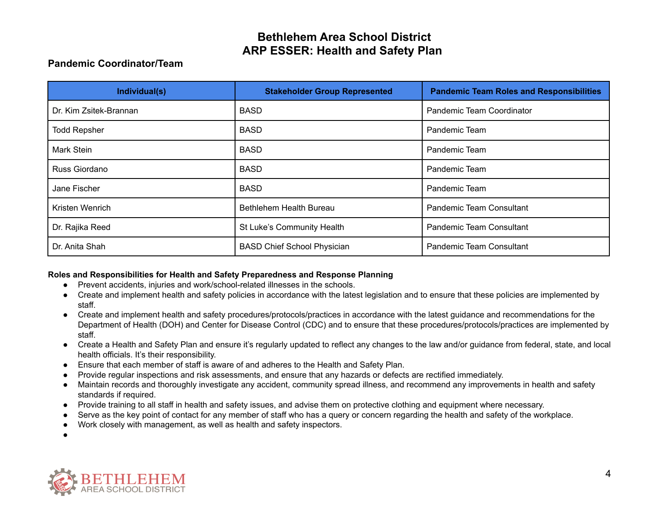### **Pandemic Coordinator/Team**

| Individual(s)          | <b>Stakeholder Group Represented</b> | <b>Pandemic Team Roles and Responsibilities</b> |
|------------------------|--------------------------------------|-------------------------------------------------|
| Dr. Kim Zsitek-Brannan | <b>BASD</b>                          | Pandemic Team Coordinator                       |
| <b>Todd Repsher</b>    | <b>BASD</b>                          | Pandemic Team                                   |
| Mark Stein             | <b>BASD</b>                          | Pandemic Team                                   |
| Russ Giordano          | <b>BASD</b>                          | Pandemic Team                                   |
| Jane Fischer           | <b>BASD</b>                          | Pandemic Team                                   |
| Kristen Wenrich        | Bethlehem Health Bureau              | <b>Pandemic Team Consultant</b>                 |
| Dr. Rajika Reed        | St Luke's Community Health           | <b>Pandemic Team Consultant</b>                 |
| Dr. Anita Shah         | <b>BASD Chief School Physician</b>   | <b>Pandemic Team Consultant</b>                 |

#### **Roles and Responsibilities for Health and Safety Preparedness and Response Planning**

- Prevent accidents, injuries and work/school-related illnesses in the schools.
- Create and implement health and safety policies in accordance with the latest legislation and to ensure that these policies are implemented by staff.
- Create and implement health and safety procedures/protocols/practices in accordance with the latest guidance and recommendations for the Department of Health (DOH) and Center for Disease Control (CDC) and to ensure that these procedures/protocols/practices are implemented by staff.
- Create a Health and Safety Plan and ensure it's regularly updated to reflect any changes to the law and/or guidance from federal, state, and local health officials. It's their responsibility.
- Ensure that each member of staff is aware of and adheres to the Health and Safety Plan.
- Provide regular inspections and risk assessments, and ensure that any hazards or defects are rectified immediately.
- Maintain records and thoroughly investigate any accident, community spread illness, and recommend any improvements in health and safety standards if required.
- Provide training to all staff in health and safety issues, and advise them on protective clothing and equipment where necessary.
- Serve as the key point of contact for any member of staff who has a query or concern regarding the health and safety of the workplace.
- Work closely with management, as well as health and safety inspectors.



●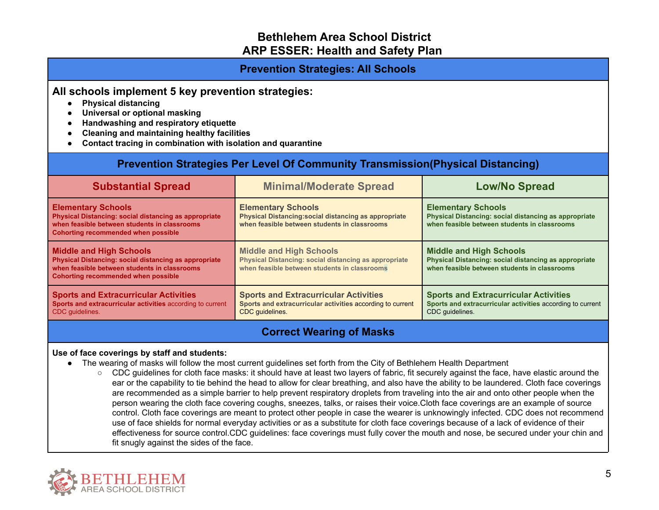### **Prevention Strategies: All Schools**

### **All schools implement 5 key prevention strategies:**

- **● Physical distancing**
- **● Universal or optional masking**
- **● Handwashing and respiratory etiquette**
- **● Cleaning and maintaining healthy facilities**
- **● Contact tracing in combination with isolation and quarantine**

# **Prevention Strategies Per Level Of Community Transmission(Physical Distancing)**

| <b>Substantial Spread</b>                                                                                                                                                               | <b>Minimal/Moderate Spread</b>                                                                                                          | <b>Low/No Spread</b>                                                                                                                    |
|-----------------------------------------------------------------------------------------------------------------------------------------------------------------------------------------|-----------------------------------------------------------------------------------------------------------------------------------------|-----------------------------------------------------------------------------------------------------------------------------------------|
| <b>Elementary Schools</b><br><b>Physical Distancing: social distancing as appropriate</b><br>when feasible between students in classrooms<br><b>Cohorting recommended when possible</b> | <b>Elementary Schools</b><br>Physical Distancing: social distancing as appropriate<br>when feasible between students in classrooms      | <b>Elementary Schools</b><br>Physical Distancing: social distancing as appropriate<br>when feasible between students in classrooms      |
| <b>Middle and High Schools</b><br>Physical Distancing: social distancing as appropriate<br>when feasible between students in classrooms<br><b>Cohorting recommended when possible</b>   | <b>Middle and High Schools</b><br>Physical Distancing: social distancing as appropriate<br>when feasible between students in classrooms | <b>Middle and High Schools</b><br>Physical Distancing: social distancing as appropriate<br>when feasible between students in classrooms |
| <b>Sports and Extracurricular Activities</b><br>Sports and extracurricular activities according to current<br>CDC quidelines.                                                           | <b>Sports and Extracurricular Activities</b><br>Sports and extracurricular activities according to current<br>CDC guidelines.           | <b>Sports and Extracurricular Activities</b><br>Sports and extracurricular activities according to current<br>CDC guidelines.           |

### **Correct Wearing of Masks**

#### **Use of face coverings by staff and students:**

- The wearing of masks will follow the most current guidelines set forth from the City of Bethlehem Health Department
	- CDC guidelines for cloth face masks: it should have at least two layers of fabric, fit securely against the face, have elastic around the ear or the capability to tie behind the head to allow for clear breathing, and also have the ability to be laundered. Cloth face coverings are recommended as a simple barrier to help prevent respiratory droplets from traveling into the air and onto other people when the person wearing the cloth face covering coughs, sneezes, talks, or raises their voice.Cloth face coverings are an example of source control. Cloth face coverings are meant to protect other people in case the wearer is unknowingly infected. CDC does not recommend use of face shields for normal everyday activities or as a substitute for cloth face coverings because of a lack of evidence of their effectiveness for source control.CDC guidelines: face coverings must fully cover the mouth and nose, be secured under your chin and fit snugly against the sides of the face.

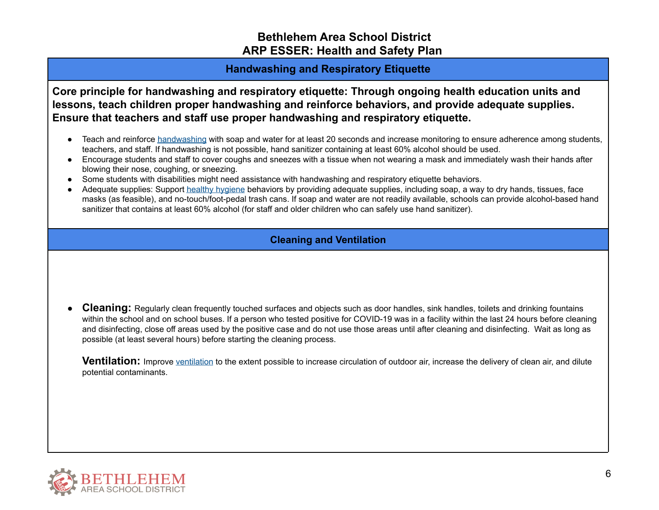### **Handwashing and Respiratory Etiquette**

**Core principle for handwashing and respiratory etiquette: Through ongoing health education units and lessons, teach children proper handwashing and reinforce behaviors, and provide adequate supplies. Ensure that teachers and staff use proper handwashing and respiratory etiquette.**

- Teach and reinforce [handwashing](https://www.cdc.gov/handwashing/when-how-handwashing.html) with soap and water for at least 20 seconds and increase monitoring to ensure adherence among students, teachers, and staff. If handwashing is not possible, hand sanitizer containing at least 60% alcohol should be used.
- Encourage students and staff to cover coughs and sneezes with a tissue when not wearing a mask and immediately wash their hands after blowing their nose, coughing, or sneezing.
- Some students with disabilities might need assistance with handwashing and respiratory etiquette behaviors.
- Adequate supplies: Support healthy [hygiene](https://www.cdc.gov/handwashing/when-how-handwashing.html) behaviors by providing adequate supplies, including soap, a way to dry hands, tissues, face masks (as feasible), and no-touch/foot-pedal trash cans. If soap and water are not readily available, schools can provide alcohol-based hand sanitizer that contains at least 60% alcohol (for staff and older children who can safely use hand sanitizer).

### **Cleaning and Ventilation**

**Cleaning:** Regularly clean frequently touched surfaces and objects such as door handles, sink handles, toilets and drinking fountains within the school and on school buses. If a person who tested positive for COVID-19 was in a facility within the last 24 hours before cleaning and disinfecting, close off areas used by the positive case and do not use those areas until after cleaning and disinfecting. Wait as long as possible (at least several hours) before starting the cleaning process.

**Ventilation:** Improve [ventilation](https://www.cdc.gov/coronavirus/2019-ncov/community/schools-childcare/ventilation.html) to the extent possible to increase circulation of outdoor air, increase the delivery of clean air, and dilute potential contaminants.

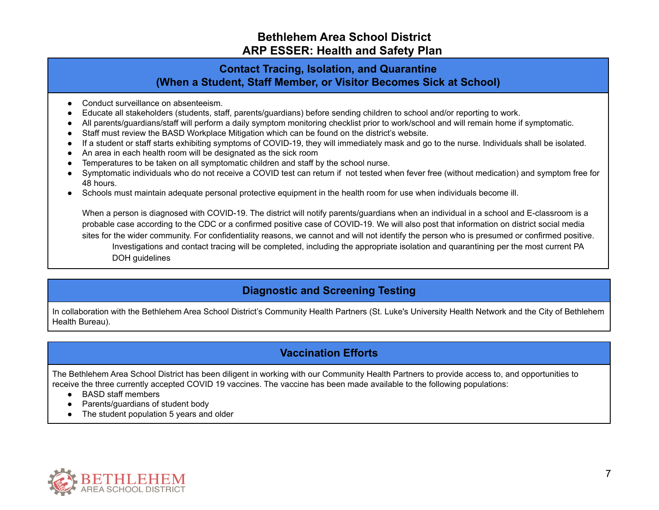# **Contact Tracing, Isolation, and Quarantine (When a Student, Staff Member, or Visitor Becomes Sick at School)**

- Conduct surveillance on absenteeism.
- Educate all stakeholders (students, staff, parents/guardians) before sending children to school and/or reporting to work.
- All parents/guardians/staff will perform a daily symptom monitoring checklist prior to work/school and will remain home if symptomatic.
- Staff must review the BASD Workplace Mitigation which can be found on the district's website.
- If a student or staff starts exhibiting symptoms of COVID-19, they will immediately mask and go to the nurse. Individuals shall be isolated.
- An area in each health room will be designated as the sick room
- Temperatures to be taken on all symptomatic children and staff by the school nurse.
- Symptomatic individuals who do not receive a COVID test can return if not tested when fever free (without medication) and symptom free for 48 hours.
- Schools must maintain adequate personal protective equipment in the health room for use when individuals become ill.

When a person is diagnosed with COVID-19. The district will notify parents/guardians when an individual in a school and E-classroom is a probable case according to the CDC or a confirmed positive case of COVID-19. We will also post that information on district social media sites for the wider community. For confidentiality reasons, we cannot and will not identify the person who is presumed or confirmed positive. Investigations and contact tracing will be completed, including the appropriate isolation and quarantining per the most current PA DOH guidelines

# **Diagnostic and Screening Testing**

In collaboration with the Bethlehem Area School District's Community Health Partners (St. Luke's University Health Network and the City of Bethlehem Health Bureau).

# **Vaccination Efforts**

The Bethlehem Area School District has been diligent in working with our Community Health Partners to provide access to, and opportunities to receive the three currently accepted COVID 19 vaccines. The vaccine has been made available to the following populations:

- BASD staff members
- Parents/guardians of student body
- The student population 5 years and older

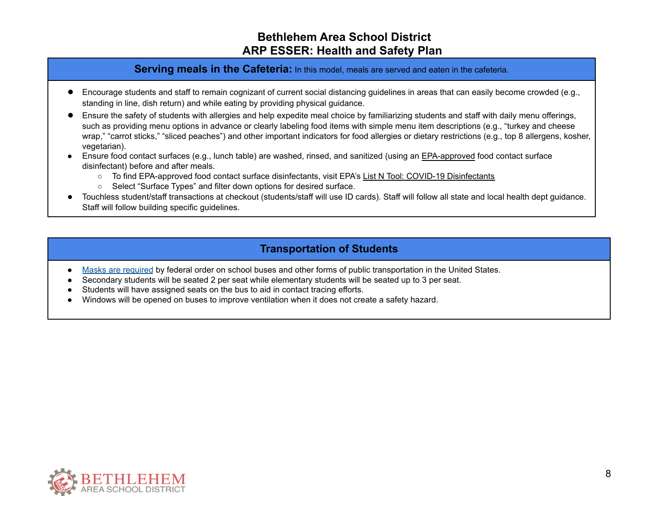#### **Serving meals in the Cafeteria:** In this model, meals are served and eaten in the cafeteria.

- Encourage students and staff to remain cognizant of current social distancing guidelines in areas that can easily become crowded (e.g., standing in line, dish return) and while eating by providing physical guidance.
- Ensure the safety of students with allergies and help expedite meal choice by familiarizing students and staff with daily menu offerings, such as providing menu options in advance or clearly labeling food items with simple menu item descriptions (e.g., "turkey and cheese wrap," "carrot sticks," "sliced peaches") and other important indicators for food allergies or dietary restrictions (e.g., top 8 allergens, kosher, vegetarian).
- Ensure food contact surfaces (e.g., lunch table) are washed, rinsed, and sanitized (using an [EPA-approved](https://www.epa.gov/pesticide-registration/list-n-disinfectants-use-against-sars-cov-2) food contact surface disinfectant) before and after meals.
	- To find EPA-approved food contact surface disinfectants, visit EPA's List N Tool: COVID-19 [Disinfectants](https://cfpub.epa.gov/giwiz/disinfectants/index.cfm)
	- Select "Surface Types" and filter down options for desired surface.
- Touchless student/staff transactions at checkout (students/staff will use ID cards). Staff will follow all state and local health dept guidance. Staff will follow building specific guidelines.

## **Transportation of Students**

- Masks are [required](https://www.cdc.gov/coronavirus/2019-ncov/travelers/face-masks-public-transportation.html) by federal order on school buses and other forms of public transportation in the United States.
- Secondary students will be seated 2 per seat while elementary students will be seated up to 3 per seat.
- Students will have assigned seats on the bus to aid in contact tracing efforts.
- Windows will be opened on buses to improve ventilation when it does not create a safety hazard.

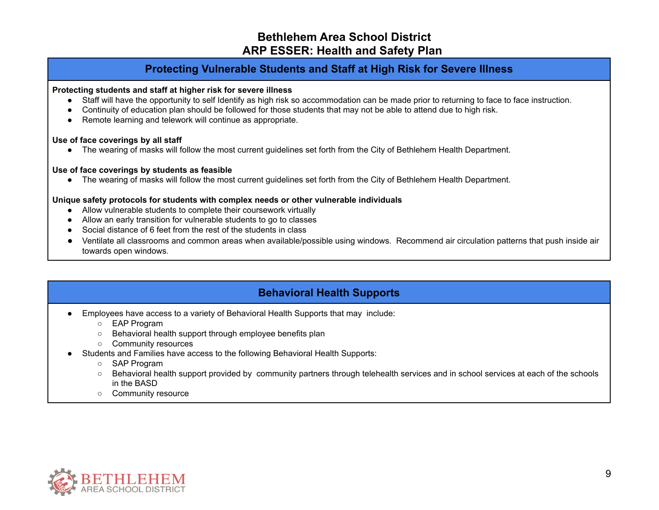### **Protecting Vulnerable Students and Staff at High Risk for Severe Illness**

#### **Protecting students and staff at higher risk for severe illness**

- Staff will have the opportunity to self Identify as high risk so accommodation can be made prior to returning to face to face instruction.
- Continuity of education plan should be followed for those students that may not be able to attend due to high risk.
- Remote learning and telework will continue as appropriate.

#### **Use of face coverings by all staff**

● The wearing of masks will follow the most current guidelines set forth from the City of Bethlehem Health Department.

#### **Use of face coverings by students as feasible**

● The wearing of masks will follow the most current guidelines set forth from the City of Bethlehem Health Department.

#### **Unique safety protocols for students with complex needs or other vulnerable individuals**

- Allow vulnerable students to complete their coursework virtually
- Allow an early transition for vulnerable students to go to classes
- Social distance of 6 feet from the rest of the students in class
- Ventilate all classrooms and common areas when available/possible using windows. Recommend air circulation patterns that push inside air towards open windows.

# **Behavioral Health Supports**

- Employees have access to a variety of Behavioral Health Supports that may include:
	- EAP Program
	- Behavioral health support through employee benefits plan
	- Community resources
- Students and Families have access to the following Behavioral Health Supports:
	- SAP Program
	- Behavioral health support provided by community partners through telehealth services and in school services at each of the schools in the BASD
	- Community resource

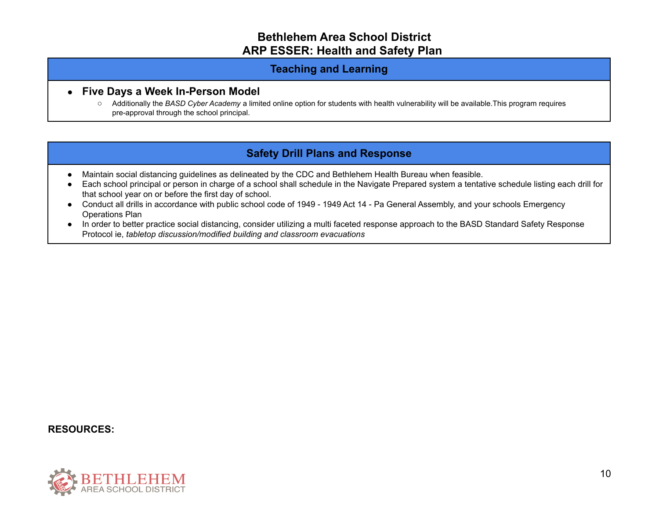### **Teaching and Learning**

#### ● **Five Days a Week In-Person Model**

○ Additionally the *BASD Cyber Academy* a limited online option for students with health vulnerability will be available.This program requires pre-approval through the school principal.

# **Safety Drill Plans and Response**

- Maintain social distancing guidelines as delineated by the CDC and Bethlehem Health Bureau when feasible.
- Each school principal or person in charge of a school shall schedule in the Navigate Prepared system a tentative schedule listing each drill for that school year on or before the first day of school.
- Conduct all drills in accordance with public school code of 1949 1949 Act 14 Pa General Assembly, and your schools Emergency Operations Plan
- In order to better practice social distancing, consider utilizing a multi faceted response approach to the BASD Standard Safety Response Protocol ie, *tabletop discussion/modified building and classroom evacuations*

#### **RESOURCES:**

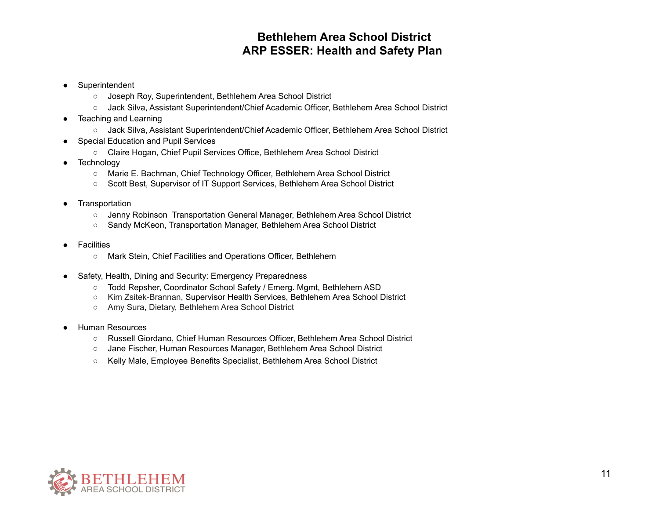- Superintendent
	- Joseph Roy, Superintendent, Bethlehem Area School District
	- Jack Silva, Assistant Superintendent/Chief Academic Officer, Bethlehem Area School District
- Teaching and Learning
	- Jack Silva, Assistant Superintendent/Chief Academic Officer, Bethlehem Area School District
- Special Education and Pupil Services
	- Claire Hogan, Chief Pupil Services Office, Bethlehem Area School District
- Technology
	- Marie E. Bachman, Chief Technology Officer, Bethlehem Area School District
	- Scott Best, Supervisor of IT Support Services, Bethlehem Area School District
- Transportation
	- Jenny Robinson Transportation General Manager, Bethlehem Area School District
	- Sandy McKeon, Transportation Manager, Bethlehem Area School District
- Facilities
	- Mark Stein, Chief Facilities and Operations Officer, Bethlehem
- Safety, Health, Dining and Security: Emergency Preparedness
	- Todd Repsher, Coordinator School Safety / Emerg. Mgmt, Bethlehem ASD
	- Kim Zsitek-Brannan, Supervisor Health Services, Bethlehem Area School District
	- Amy Sura, Dietary, Bethlehem Area School District
- Human Resources
	- Russell Giordano, Chief Human Resources Officer, Bethlehem Area School District
	- Jane Fischer, Human Resources Manager, Bethlehem Area School District
	- Kelly Male, Employee Benefits Specialist, Bethlehem Area School District

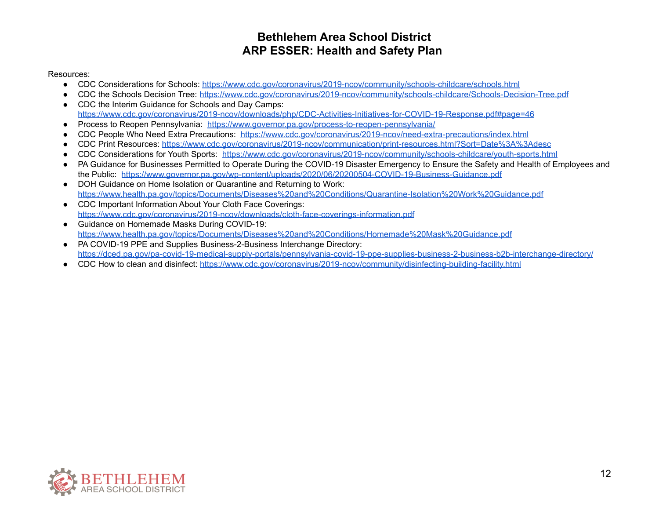#### Resources:

- CDC Considerations for Schools: <https://www.cdc.gov/coronavirus/2019-ncov/community/schools-childcare/schools.html>
- CDC the Schools Decision Tree: <https://www.cdc.gov/coronavirus/2019-ncov/community/schools-childcare/Schools-Decision-Tree.pdf>
- CDC the Interim Guidance for Schools and Day Camps: <https://www.cdc.gov/coronavirus/2019-ncov/downloads/php/CDC-Activities-Initiatives-for-COVID-19-Response.pdf#page=46>
- Process to Reopen Pennsylvania: <https://www.governor.pa.gov/process-to-reopen-pennsylvania/>
- CDC People Who Need Extra Precautions: <https://www.cdc.gov/coronavirus/2019-ncov/need-extra-precautions/index.html>
- CDC Print Resources: <https://www.cdc.gov/coronavirus/2019-ncov/communication/print-resources.html?Sort=Date%3A%3Adesc>
- CDC Considerations for Youth Sports: <https://www.cdc.gov/coronavirus/2019-ncov/community/schools-childcare/youth-sports.html>
- PA Guidance for Businesses Permitted to Operate During the COVID-19 Disaster Emergency to Ensure the Safety and Health of Employees and the Public: <https://www.governor.pa.gov/wp-content/uploads/2020/06/20200504-COVID-19-Business-Guidance.pdf>
- DOH Guidance on Home Isolation or Quarantine and Returning to Work: <https://www.health.pa.gov/topics/Documents/Diseases%20and%20Conditions/Quarantine-Isolation%20Work%20Guidance.pdf>
- CDC Important Information About Your Cloth Face Coverings: <https://www.cdc.gov/coronavirus/2019-ncov/downloads/cloth-face-coverings-information.pdf>
- Guidance on Homemade Masks During COVID-19: <https://www.health.pa.gov/topics/Documents/Diseases%20and%20Conditions/Homemade%20Mask%20Guidance.pdf>
- PA COVID-19 PPE and Supplies Business-2-Business Interchange Directory: <https://dced.pa.gov/pa-covid-19-medical-supply-portals/pennsylvania-covid-19-ppe-supplies-business-2-business-b2b-interchange-directory/>
- CDC How to clean and disinfect: <https://www.cdc.gov/coronavirus/2019-ncov/community/disinfecting-building-facility.html>